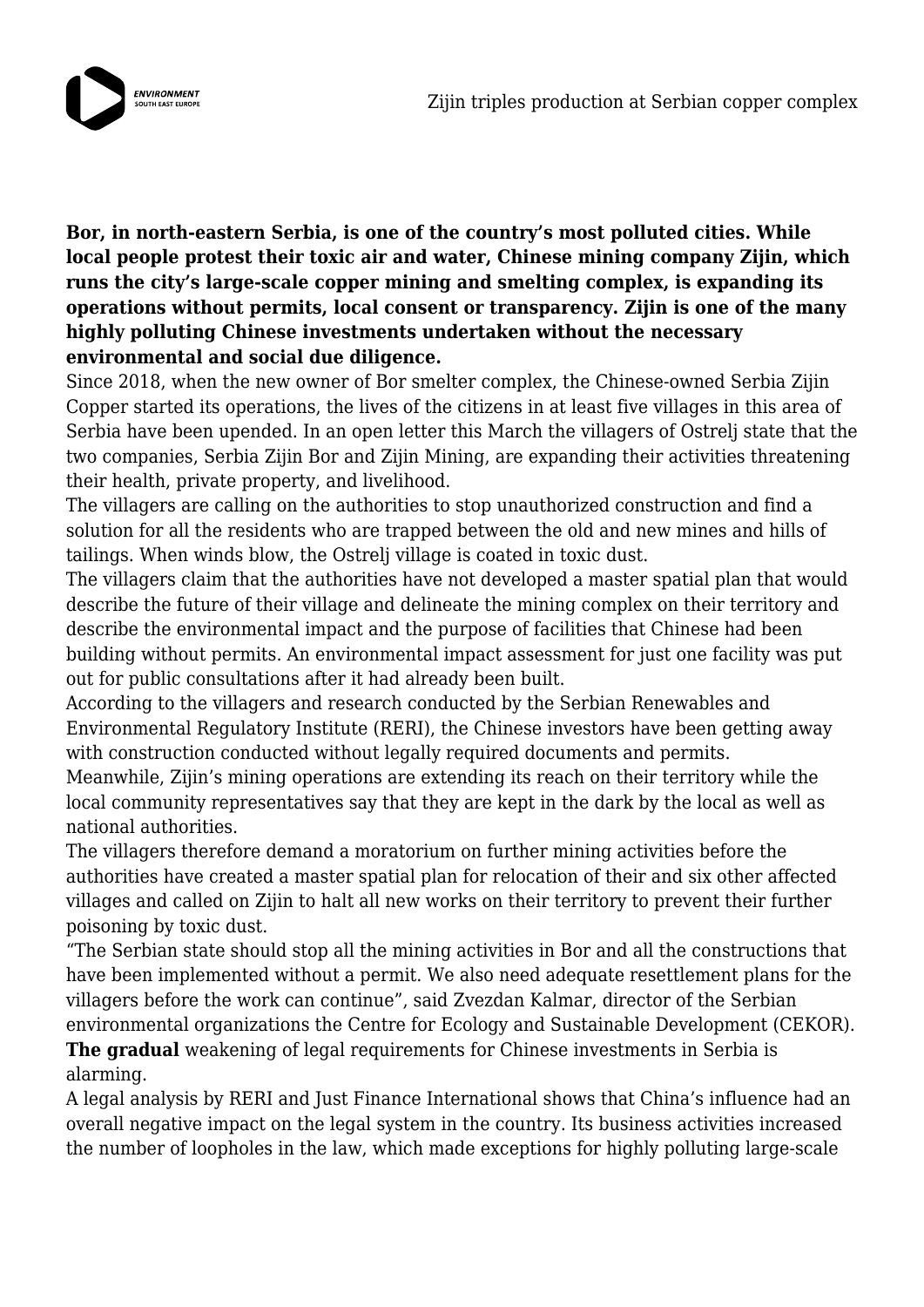

**Bor, in north-eastern Serbia, is one of the country's most polluted cities. While local people protest their toxic air and water, Chinese mining company Zijin, which runs the city's large-scale copper mining and smelting complex, is expanding its operations without permits, local consent or transparency. Zijin is one of the many highly polluting Chinese investments undertaken without the necessary environmental and social due diligence.**

Since 2018, when the new owner of Bor smelter complex, the Chinese-owned Serbia Zijin Copper started its operations, the lives of the citizens in at least five villages in this area of Serbia have been upended. In an open letter this March the villagers of Ostrelj state that the two companies, Serbia Zijin Bor and Zijin Mining, are expanding their activities threatening their health, private property, and livelihood.

The villagers are calling on the authorities to stop unauthorized construction and find a solution for all the residents who are trapped between the old and new mines and hills of tailings. When winds blow, the Ostrelj village is coated in toxic dust.

The villagers claim that the authorities have not developed a master spatial plan that would describe the future of their village and delineate the mining complex on their territory and describe the environmental impact and the purpose of facilities that Chinese had been building without permits. An environmental impact assessment for just one facility was put out for public consultations after it had already been built.

According to the villagers and research conducted by the Serbian Renewables and Environmental Regulatory Institute (RERI), the Chinese investors have been getting away with construction conducted without legally required documents and permits.

Meanwhile, Zijin's mining operations are extending its reach on their territory while the local community representatives say that they are kept in the dark by the local as well as national authorities.

The villagers therefore demand a moratorium on further mining activities before the authorities have created a master spatial plan for relocation of their and six other affected villages and called on Zijin to halt all new works on their territory to prevent their further poisoning by toxic dust.

"The Serbian state should stop all the mining activities in Bor and all the constructions that have been implemented without a permit. We also need adequate resettlement plans for the villagers before the work can continue", said Zvezdan Kalmar, director of the Serbian environmental organizations the Centre for Ecology and Sustainable Development (CEKOR).

**The gradual** weakening of legal requirements for Chinese investments in Serbia is alarming.

A legal analysis by RERI and Just Finance International shows that China's influence had an overall negative impact on the legal system in the country. Its business activities increased the number of loopholes in the law, which made exceptions for highly polluting large-scale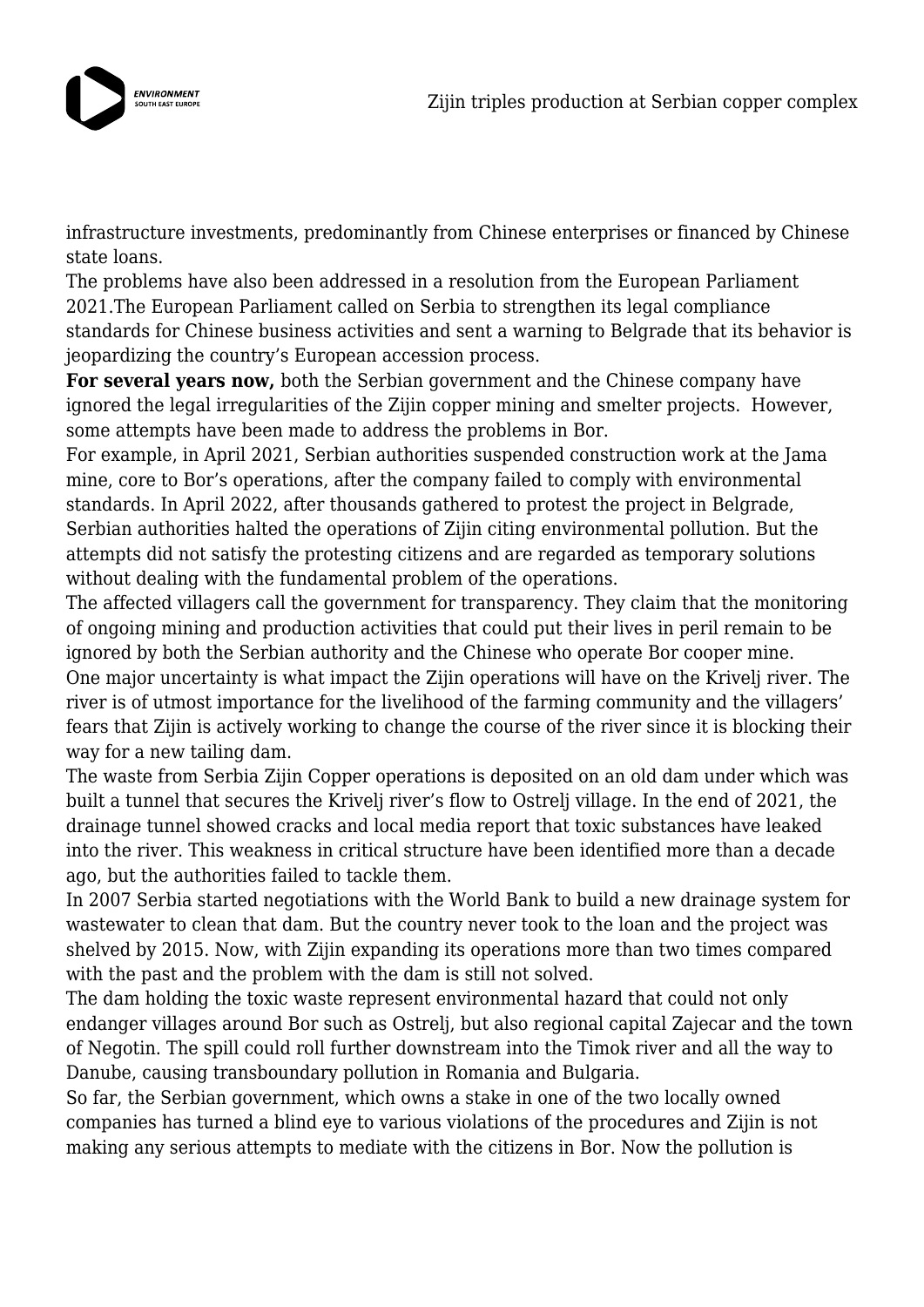

infrastructure investments, predominantly from Chinese enterprises or financed by Chinese state loans.

The problems have also been addressed in a resolution from the European Parliament 2021.The European Parliament called on Serbia to strengthen its legal compliance standards for Chinese business activities and sent a warning to Belgrade that its behavior is jeopardizing the country's European accession process.

**For several years now,** both the Serbian government and the Chinese company have ignored the legal irregularities of the Zijin copper mining and smelter projects. However, some attempts have been made to address the problems in Bor.

For example, in April 2021, Serbian authorities suspended construction work at the Jama mine, core to Bor's operations, after the company failed to comply with environmental standards. In April 2022, after thousands gathered to protest the project in Belgrade, Serbian authorities halted the operations of Zijin citing environmental pollution. But the attempts did not satisfy the protesting citizens and are regarded as temporary solutions without dealing with the fundamental problem of the operations.

The affected villagers call the government for transparency. They claim that the monitoring of ongoing mining and production activities that could put their lives in peril remain to be ignored by both the Serbian authority and the Chinese who operate Bor cooper mine. One major uncertainty is what impact the Zijin operations will have on the Krivelj river. The river is of utmost importance for the livelihood of the farming community and the villagers' fears that Zijin is actively working to change the course of the river since it is blocking their way for a new tailing dam.

The waste from Serbia Zijin Copper operations is deposited on an old dam under which was built a tunnel that secures the Krivelj river's flow to Ostrelj village. In the end of 2021, the drainage tunnel showed cracks and local media report that toxic substances have leaked into the river. This weakness in critical structure have been identified more than a decade ago, but the authorities failed to tackle them.

In 2007 Serbia started negotiations with the World Bank to build a new drainage system for wastewater to clean that dam. But the country never took to the loan and the project was shelved by 2015. Now, with Zijin expanding its operations more than two times compared with the past and the problem with the dam is still not solved.

The dam holding the toxic waste represent environmental hazard that could not only endanger villages around Bor such as Ostrelj, but also regional capital Zajecar and the town of Negotin. The spill could roll further downstream into the Timok river and all the way to Danube, causing transboundary pollution in Romania and Bulgaria.

So far, the Serbian government, which owns a stake in one of the two locally owned companies has turned a blind eye to various violations of the procedures and Zijin is not making any serious attempts to mediate with the citizens in Bor. Now the pollution is